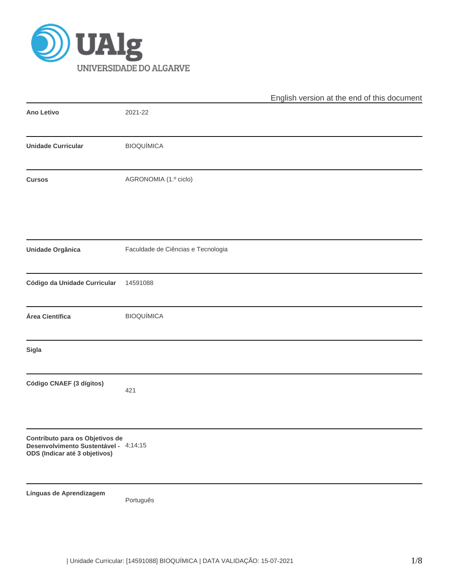

|                                                                                                           |                                    | English version at the end of this document |
|-----------------------------------------------------------------------------------------------------------|------------------------------------|---------------------------------------------|
| Ano Letivo                                                                                                | 2021-22                            |                                             |
| <b>Unidade Curricular</b>                                                                                 | <b>BIOQUÍMICA</b>                  |                                             |
| <b>Cursos</b>                                                                                             | AGRONOMIA (1.º ciclo)              |                                             |
| Unidade Orgânica                                                                                          | Faculdade de Ciências e Tecnologia |                                             |
| Código da Unidade Curricular                                                                              | 14591088                           |                                             |
| Área Científica                                                                                           | <b>BIOQUÍMICA</b>                  |                                             |
| Sigla                                                                                                     |                                    |                                             |
| Código CNAEF (3 dígitos)                                                                                  | 421                                |                                             |
| Contributo para os Objetivos de<br>Desenvolvimento Sustentável - 4;14;15<br>ODS (Indicar até 3 objetivos) |                                    |                                             |
| Línguas de Aprendizagem                                                                                   | Português                          |                                             |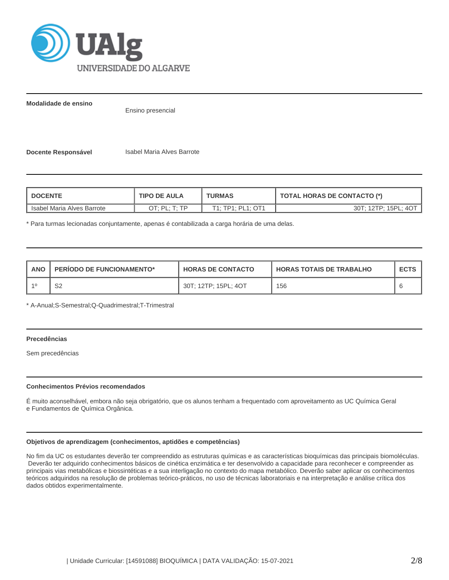

**Modalidade de ensino**

Ensino presencial

**Docente Responsável Isabel Maria Alves Barrote** 

| <b>DOCENTE</b><br><b>TIPO DE AULA</b> |                                                                | <b>TURMAS</b>     | <b>TOTAL HORAS DE CONTACTO (*)</b> |  |  |  |
|---------------------------------------|----------------------------------------------------------------|-------------------|------------------------------------|--|--|--|
| Isabel Maria Alves Barrote            | $\bigcap$ $\Gamma$ $\cdot$ $\Gamma$ $\Gamma$ $\Gamma$ $\Gamma$ | T1; TP1; PL1; OT1 | 30T; 12TP; 15PL; 4OT               |  |  |  |

\* Para turmas lecionadas conjuntamente, apenas é contabilizada a carga horária de uma delas.

| <b>ANO</b> | <b>PERIODO DE FUNCIONAMENTO*</b> | <b>HORAS DE CONTACTO</b> | <b>HORAS TOTAIS DE TRABALHO</b> | <b>ECTS</b> |
|------------|----------------------------------|--------------------------|---------------------------------|-------------|
| $-40$      | ົ<br>ےت                          | 30T; 12TP; 15PL; 4OT     | 156                             |             |

\* A-Anual;S-Semestral;Q-Quadrimestral;T-Trimestral

# **Precedências**

Sem precedências

#### **Conhecimentos Prévios recomendados**

É muito aconselhável, embora não seja obrigatório, que os alunos tenham a frequentado com aproveitamento as UC Química Geral e Fundamentos de Química Orgânica.

### **Objetivos de aprendizagem (conhecimentos, aptidões e competências)**

No fim da UC os estudantes deverão ter compreendido as estruturas químicas e as características bioquímicas das principais biomoléculas. Deverão ter adquirido conhecimentos básicos de cinética enzimática e ter desenvolvido a capacidade para reconhecer e compreender as principais vias metabólicas e biossintéticas e a sua interligação no contexto do mapa metabólico. Deverão saber aplicar os conhecimentos teóricos adquiridos na resolução de problemas teórico-práticos, no uso de técnicas laboratoriais e na interpretação e análise crítica dos dados obtidos experimentalmente.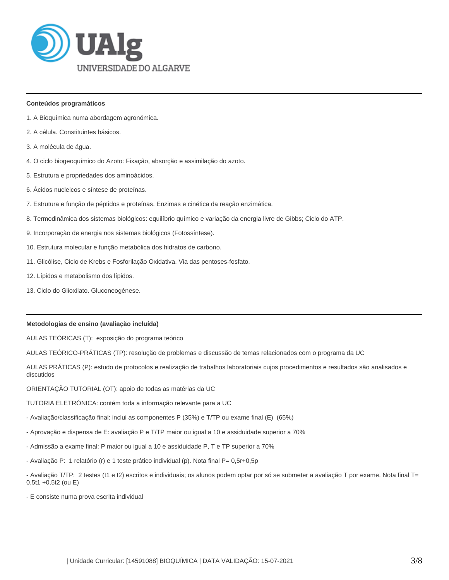

#### **Conteúdos programáticos**

- 1. A Bioquímica numa abordagem agronómica.
- 2. A célula. Constituintes básicos.
- 3. A molécula de água.
- 4. O ciclo biogeoquímico do Azoto: Fixação, absorção e assimilação do azoto.
- 5. Estrutura e propriedades dos aminoácidos.
- 6. Ácidos nucleicos e síntese de proteínas.
- 7. Estrutura e função de péptidos e proteínas. Enzimas e cinética da reação enzimática.
- 8. Termodinâmica dos sistemas biológicos: equilíbrio químico e variação da energia livre de Gibbs; Ciclo do ATP.
- 9. Incorporação de energia nos sistemas biológicos (Fotossíntese).
- 10. Estrutura molecular e função metabólica dos hidratos de carbono.
- 11. Glicólise, Ciclo de Krebs e Fosforilação Oxidativa. Via das pentoses-fosfato.
- 12. Lípidos e metabolismo dos lípidos.
- 13. Ciclo do Glioxilato. Gluconeogénese.

#### **Metodologias de ensino (avaliação incluída)**

AULAS TEÓRICAS (T): exposição do programa teórico

AULAS TEÓRICO-PRÁTICAS (TP): resolução de problemas e discussão de temas relacionados com o programa da UC

AULAS PRÁTICAS (P): estudo de protocolos e realização de trabalhos laboratoriais cujos procedimentos e resultados são analisados e discutidos

ORIENTAÇÃO TUTORIAL (OT): apoio de todas as matérias da UC

TUTORIA ELETRÓNICA: contém toda a informação relevante para a UC

- Avaliação/classificação final: inclui as componentes P (35%) e T/TP ou exame final (E) (65%)
- Aprovação e dispensa de E: avaliação P e T/TP maior ou igual a 10 e assiduidade superior a 70%
- Admissão a exame final: P maior ou igual a 10 e assiduidade P, T e TP superior a 70%
- Avaliação P: 1 relatório (r) e 1 teste prático individual (p). Nota final P= 0,5r+0,5p
- Avaliação T/TP: 2 testes (t1 e t2) escritos e individuais; os alunos podem optar por só se submeter a avaliação T por exame. Nota final T= 0,5t1 +0,5t2 (ou E)
- E consiste numa prova escrita individual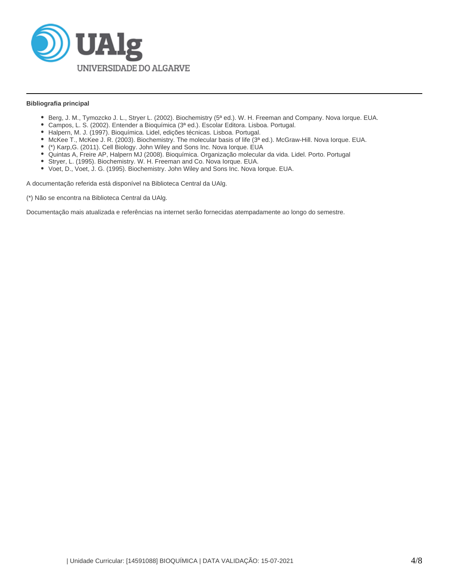

### **Bibliografia principal**

- Berg, J. M., Tymozcko J. L., Stryer L. (2002). Biochemistry (5ª ed.). W. H. Freeman and Company. Nova Iorque. EUA.
- Campos, L. S. (2002). Entender a Bioquímica (3ª ed.). Escolar Editora. Lisboa. Portugal.
- Halpern, M. J. (1997). Bioquímica. Lidel, edições técnicas. Lisboa. Portugal.
- McKee T., McKee J. R. (2003). Biochemistry. The molecular basis of life (3ª ed.). McGraw-Hill. Nova Iorque. EUA.
- (\*) Karp,G. (2011). Cell Biology. John Wiley and Sons Inc. Nova Iorque. EUA
- Quintas A, Freire AP, Halpern MJ (2008). Bioquímica. Organização molecular da vida. Lidel. Porto. Portugal
- Stryer, L. (1995). Biochemistry. W. H. Freeman and Co. Nova Iorque. EUA.
- Voet, D., Voet, J. G. (1995). Biochemistry. John Wiley and Sons Inc. Nova Iorque. EUA.

A documentação referida está disponível na Biblioteca Central da UAlg.

(\*) Não se encontra na Biblioteca Central da UAlg.

Documentação mais atualizada e referências na internet serão fornecidas atempadamente ao longo do semestre.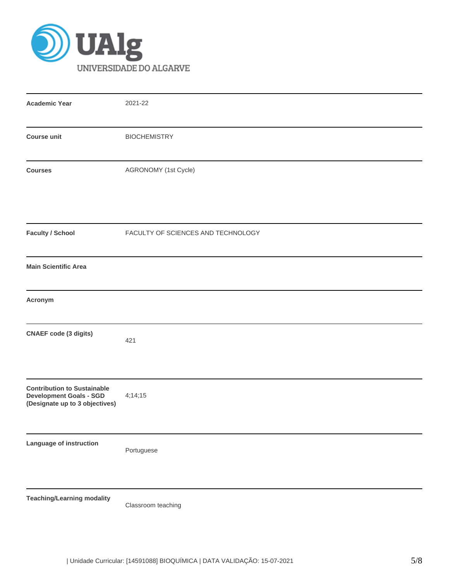

| <b>Academic Year</b>                                                                                   | 2021-22                            |
|--------------------------------------------------------------------------------------------------------|------------------------------------|
| <b>Course unit</b>                                                                                     | <b>BIOCHEMISTRY</b>                |
| <b>Courses</b>                                                                                         | AGRONOMY (1st Cycle)               |
| <b>Faculty / School</b>                                                                                | FACULTY OF SCIENCES AND TECHNOLOGY |
| <b>Main Scientific Area</b>                                                                            |                                    |
| Acronym                                                                                                |                                    |
| <b>CNAEF</b> code (3 digits)                                                                           | 421                                |
| <b>Contribution to Sustainable</b><br><b>Development Goals - SGD</b><br>(Designate up to 3 objectives) | 4;14;15                            |
| Language of instruction                                                                                | Portuguese                         |
| <b>Teaching/Learning modality</b>                                                                      | Classroom teaching                 |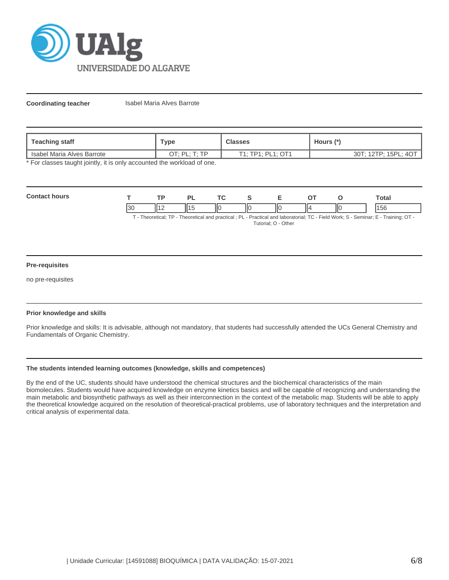

**Coordinating teacher Isabel Maria Alves Barrote** 

| Teaching staff               | Туре              | <b>Classes</b>    | Hours (*             |  |  |
|------------------------------|-------------------|-------------------|----------------------|--|--|
| I Isabel Maria Alves Barrote | חד היום הר<br>ั∟. | T1: TP1: PL1: OT1 | 30T; 12TP; 15PL; 4OT |  |  |

\* For classes taught jointly, it is only accounted the workload of one.

| Contac<br><b>hours</b> |                     | FЕ       | D. | $\mathbf{r}$ |   | -           |    |      | ™otal |
|------------------------|---------------------|----------|----|--------------|---|-------------|----|------|-------|
|                        | $\mathbf{r}$<br>ັບບ | 114<br>. |    | IІC          | Ш | <b>II</b> C | Ш۷ | IIC. | סכו   |

T - Theoretical; TP - Theoretical and practical ; PL - Practical and laboratorial; TC - Field Work; S - Seminar; E - Training; OT - Tutorial; O - Other

#### **Pre-requisites**

no pre-requisites

#### **Prior knowledge and skills**

Prior knowledge and skills: It is advisable, although not mandatory, that students had successfully attended the UCs General Chemistry and Fundamentals of Organic Chemistry.

# **The students intended learning outcomes (knowledge, skills and competences)**

By the end of the UC, students should have understood the chemical structures and the biochemical characteristics of the main biomolecules. Students would have acquired knowledge on enzyme kinetics basics and will be capable of recognizing and understanding the main metabolic and biosynthetic pathways as well as their interconnection in the context of the metabolic map. Students will be able to apply the theoretical knowledge acquired on the resolution of theoretical-practical problems, use of laboratory techniques and the interpretation and critical analysis of experimental data.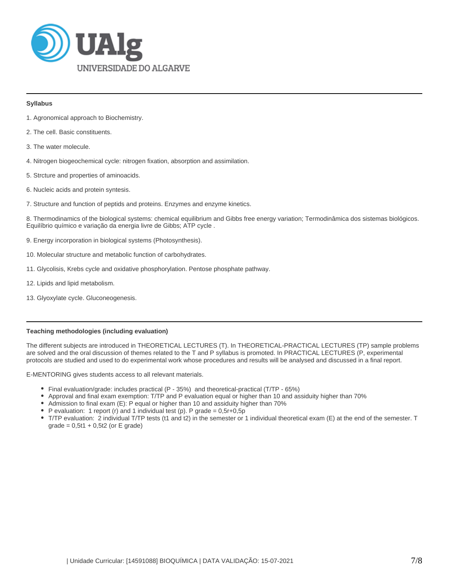

#### **Syllabus**

- 1. Agronomical approach to Biochemistry.
- 2. The cell. Basic constituents.
- 3. The water molecule.
- 4. Nitrogen biogeochemical cycle: nitrogen fixation, absorption and assimilation.
- 5. Strcture and properties of aminoacids.
- 6. Nucleic acids and protein syntesis.
- 7. Structure and function of peptids and proteins. Enzymes and enzyme kinetics.

8. Thermodinamics of the biological systems: chemical equilibrium and Gibbs free energy variation; Termodinâmica dos sistemas biológicos. Equilíbrio químico e variação da energia livre de Gibbs; ATP cycle .

- 9. Energy incorporation in biological systems (Photosynthesis).
- 10. Molecular structure and metabolic function of carbohydrates.
- 11. Glycolisis, Krebs cycle and oxidative phosphorylation. Pentose phosphate pathway.
- 12. Lipids and lipid metabolism.
- 13. Glyoxylate cycle. Gluconeogenesis.

# **Teaching methodologies (including evaluation)**

The different subjects are introduced in THEORETICAL LECTURES (T). In THEORETICAL-PRACTICAL LECTURES (TP) sample problems are solved and the oral discussion of themes related to the T and P syllabus is promoted. In PRACTICAL LECTURES (P, experimental protocols are studied and used to do experimental work whose procedures and results will be analysed and discussed in a final report.

E-MENTORING gives students access to all relevant materials.

- Final evaluation/grade: includes practical (P 35%) and theoretical-practical (T/TP 65%)
- Approval and final exam exemption: T/TP and P evaluation equal or higher than 10 and assiduity higher than 70%
- Admission to final exam (E): P equal or higher than 10 and assiduity higher than 70%
- P evaluation: 1 report (r) and 1 individual test (p). P grade =  $0,5r+0,5p$
- T/TP evaluation: 2 individual T/TP tests (t1 and t2) in the semester or 1 individual theoretical exam (E) at the end of the semester. T  $grade = 0,5t1 + 0,5t2$  (or E grade)